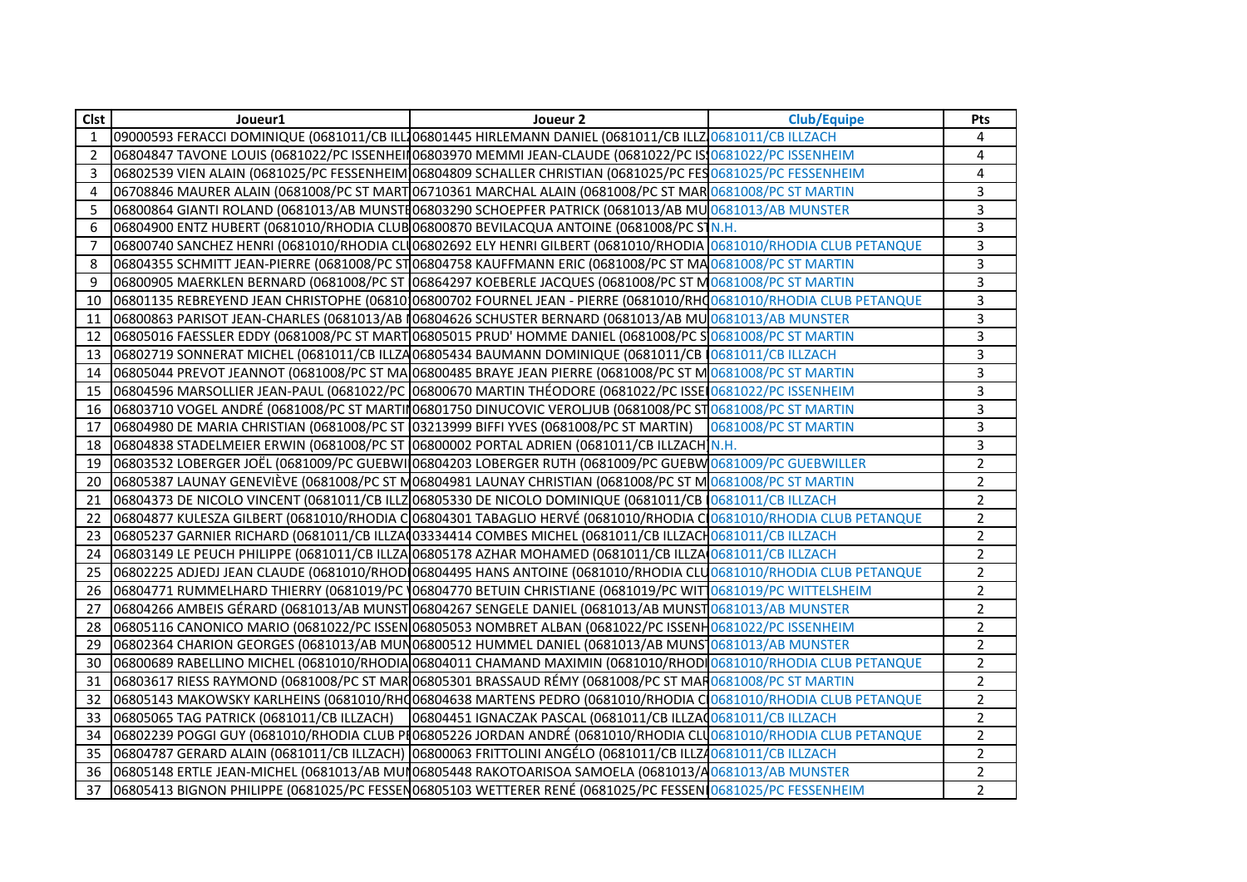| Clst | Joueur1                                                                                                           | Joueur 2                                                                                                          | <b>Club/Equipe</b> | Pts            |
|------|-------------------------------------------------------------------------------------------------------------------|-------------------------------------------------------------------------------------------------------------------|--------------------|----------------|
| 1    |                                                                                                                   | 09000593 FERACCI DOMINIQUE (0681011/CB ILL106801445 HIRLEMANN DANIEL (0681011/CB ILLZ10681011/CB ILLZACH          |                    | 4              |
| 2    |                                                                                                                   | 06804847 TAVONE LOUIS (0681022/PC ISSENHEII 06803970 MEMMI JEAN-CLAUDE (0681022/PC IS 0681022/PC ISSENHEIM        |                    | 4              |
| 3    |                                                                                                                   | 06802539 VIEN ALAIN (0681025/PC FESSENHEIM 06804809 SCHALLER CHRISTIAN (0681025/PC FES 0681025/PC FESSENHEIM      |                    | $\overline{4}$ |
| 4    |                                                                                                                   | 06708846 MAURER ALAIN (0681008/PC ST MART 06710361 MARCHAL ALAIN (0681008/PC ST MAR 0681008/PC ST MARTIN          |                    | $\overline{3}$ |
| 5    |                                                                                                                   | 06800864 GIANTI ROLAND (0681013/AB MUNSTH06803290 SCHOEPFER PATRICK (0681013/AB MU 0681013/AB MUNSTER             |                    | $\overline{3}$ |
| 6    |                                                                                                                   | 06804900 ENTZ HUBERT (0681010/RHODIA CLUB 06800870 BEVILACQUA ANTOINE (0681008/PC STN.H.                          |                    | 3              |
| 7    |                                                                                                                   | 06800740 SANCHEZ HENRI (0681010/RHODIA CLU06802692 ELY HENRI GILBERT (0681010/RHODIA 0681010/RHODIA CLUB PETANQUE |                    | 3              |
| 8    |                                                                                                                   | 06804355 SCHMITT JEAN-PIERRE (0681008/PC ST 06804758 KAUFFMANN ERIC (0681008/PC ST MA 0681008/PC ST MARTIN        |                    | 3              |
| 9    |                                                                                                                   | 06800905 MAERKLEN BERNARD (0681008/PC ST 06864297 KOEBERLE JACQUES (0681008/PC ST M0681008/PC ST MARTIN           |                    | 3              |
| 10   | 06801135 REBREYEND JEAN CHRISTOPHE (06810)06800702 FOURNEL JEAN - PIERRE (0681010/RH00681010/RHODIA CLUB PETANQUE |                                                                                                                   |                    | 3              |
| 11   |                                                                                                                   | 06800863 PARISOT JEAN-CHARLES (0681013/AB 106804626 SCHUSTER BERNARD (0681013/AB MU 0681013/AB MUNSTER            |                    | 3              |
| 12   |                                                                                                                   | 06805016 FAESSLER EDDY (0681008/PC ST MART 06805015 PRUD' HOMME DANIEL (0681008/PC S0681008/PC ST MARTIN          |                    | 3              |
| 13   |                                                                                                                   | 06802719 SONNERAT MICHEL (0681011/CB ILLZA06805434 BAUMANN DOMINIQUE (0681011/CB 10681011/CB ILLZACH              |                    | $\overline{3}$ |
| 14   |                                                                                                                   | 06805044 PREVOT JEANNOT (0681008/PC ST MA 06800485 BRAYE JEAN PIERRE (0681008/PC ST M 0681008/PC ST MARTIN        |                    | 3              |
| 15   |                                                                                                                   | 06804596 MARSOLLIER JEAN-PAUL (0681022/PC 06800670 MARTIN THÉODORE (0681022/PC ISSEI 0681022/PC ISSENHEIM         |                    | 3              |
| 16   |                                                                                                                   | 06803710 VOGEL ANDRÉ (0681008/PC ST MARTIN06801750 DINUCOVIC VEROLJUB (0681008/PC ST0681008/PC ST MARTIN          |                    | 3              |
| 17   |                                                                                                                   | 06804980 DE MARIA CHRISTIAN (0681008/PC ST 03213999 BIFFI YVES (0681008/PC ST MARTIN) 0681008/PC ST MARTIN        |                    | 3              |
| 18   | 06804838 STADELMEIER ERWIN (0681008/PC ST 06800002 PORTAL ADRIEN (0681011/CB ILLZACH N.H.                         |                                                                                                                   |                    | 3              |
| 19   | 06803532 LOBERGER JOËL (0681009/PC GUEBWI 06804203 LOBERGER RUTH (0681009/PC GUEBW 0681009/PC GUEBWILLER          |                                                                                                                   |                    | $\overline{a}$ |
| 20   |                                                                                                                   | 06805387 LAUNAY GENEVIÈVE (0681008/PC ST M06804981 LAUNAY CHRISTIAN (0681008/PC ST M0681008/PC ST MARTIN          |                    | $\overline{2}$ |
| 21   |                                                                                                                   | 06804373 DE NICOLO VINCENT (0681011/CB ILLZ 06805330 DE NICOLO DOMINIQUE (0681011/CB 0681011/CB ILLZACH           |                    | $\overline{a}$ |
| 22   |                                                                                                                   | 06804877 KULESZA GILBERT (0681010/RHODIA C 06804301 TABAGLIO HERVÉ (0681010/RHODIA C 0681010/RHODIA CLUB PETANQUE |                    | $\overline{a}$ |
| 23   |                                                                                                                   | 06805237 GARNIER RICHARD (0681011/CB ILLZA(03334414 COMBES MICHEL (0681011/CB ILLZACH0681011/CB ILLZACH           |                    | $\overline{2}$ |
| 24   |                                                                                                                   | 06803149 LE PEUCH PHILIPPE (0681011/CB ILLZA 06805178 AZHAR MOHAMED (0681011/CB ILLZA 0681011/CB ILLZACH          |                    | $\overline{a}$ |
| 25   |                                                                                                                   | 06802225 ADJEDJ JEAN CLAUDE (0681010/RHOD 06804495 HANS ANTOINE (0681010/RHODIA CLU 0681010/RHODIA CLUB PETANQUE  |                    | $\overline{2}$ |
| 26   |                                                                                                                   | 06804771 RUMMELHARD THIERRY (0681019/PC (06804770 BETUIN CHRISTIANE (0681019/PC WIT 0681019/PC WITTELSHEIM        |                    | $\overline{2}$ |
| 27   |                                                                                                                   | 06804266 AMBEIS GÉRARD (0681013/AB MUNST 06804267 SENGELE DANIEL (0681013/AB MUNST 0681013/AB MUNSTER             |                    | $\overline{2}$ |
| 28   |                                                                                                                   | 06805116 CANONICO MARIO (0681022/PC ISSEN 06805053 NOMBRET ALBAN (0681022/PC ISSENH0681022/PC ISSENHEIM           |                    | $\overline{2}$ |
| 29   |                                                                                                                   | 06802364 CHARION GEORGES (0681013/AB MUN06800512 HUMMEL DANIEL (0681013/AB MUNS10681013/AB MUNSTER                |                    | $\overline{2}$ |
| 30   |                                                                                                                   | 06800689 RABELLINO MICHEL (0681010/RHODIA 06804011 CHAMAND MAXIMIN (0681010/RHODI 0681010/RHODIA CLUB PETANQUE    |                    | $\overline{2}$ |
| 31   |                                                                                                                   | 06803617 RIESS RAYMOND (0681008/PC ST MAR 06805301 BRASSAUD RÉMY (0681008/PC ST MAR 0681008/PC ST MARTIN          |                    | $\overline{2}$ |
| 32   |                                                                                                                   | 06805143 MAKOWSKY KARLHEINS (0681010/RH006804638 MARTENS PEDRO (0681010/RHODIA CO0881010/RHODIA CLUB PETANQUE     |                    | $\overline{2}$ |
| 33   | 06805065 TAG PATRICK (0681011/CB ILLZACH)                                                                         | 06804451 IGNACZAK PASCAL (0681011/CB ILLZA 0681011/CB ILLZACH                                                     |                    | $\overline{a}$ |
| 34   |                                                                                                                   | 06802239 POGGI GUY (0681010/RHODIA CLUB PI06805226 JORDAN ANDRÉ (0681010/RHODIA CLU0681010/RHODIA CLUB PETANQUE   |                    | $\overline{2}$ |
| 35   | 06804787 GERARD ALAIN (0681011/CB ILLZACH) 06800063 FRITTOLINI ANGÉLO (0681011/CB ILLZA0681011/CB ILLZACH         |                                                                                                                   |                    | $\overline{2}$ |
| 36   | 06805148 ERTLE JEAN-MICHEL (0681013/AB MUN06805448 RAKOTOARISOA SAMOELA (0681013/A0681013/AB MUNSTER              |                                                                                                                   |                    | $\overline{2}$ |
| 37   | 06805413 BIGNON PHILIPPE (0681025/PC FESSEN06805103 WETTERER RENÉ (0681025/PC FESSENI0681025/PC FESSENHEIM        |                                                                                                                   |                    | $\overline{2}$ |